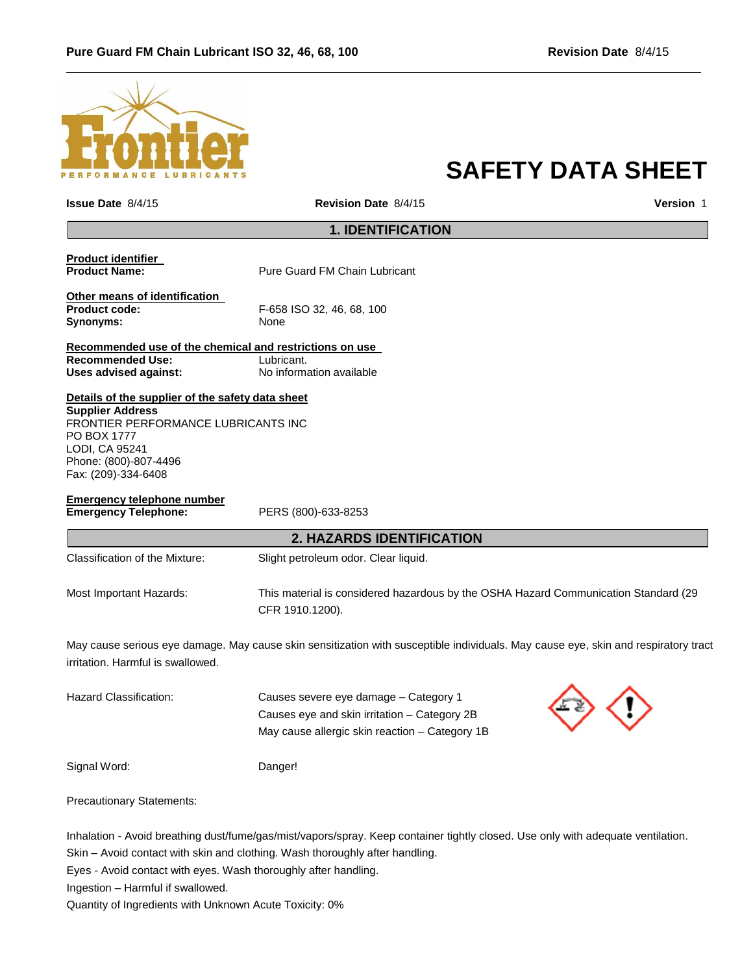

# **SAFETY DATA SHEET**

| <b>Issue Date 8/4/15</b>                                                                                                                                                                            | <b>Revision Date 8/4/15</b>                                                                                                             | <b>Version 1</b> |
|-----------------------------------------------------------------------------------------------------------------------------------------------------------------------------------------------------|-----------------------------------------------------------------------------------------------------------------------------------------|------------------|
|                                                                                                                                                                                                     | <b>1. IDENTIFICATION</b>                                                                                                                |                  |
| <b>Product identifier</b><br><b>Product Name:</b>                                                                                                                                                   | <b>Pure Guard FM Chain Lubricant</b>                                                                                                    |                  |
| Other means of identification<br>Product code:<br>Synonyms:                                                                                                                                         | F-658 ISO 32, 46, 68, 100<br>None                                                                                                       |                  |
| Recommended use of the chemical and restrictions on use<br><b>Recommended Use:</b><br><b>Uses advised against:</b>                                                                                  | Lubricant.<br>No information available                                                                                                  |                  |
| Details of the supplier of the safety data sheet<br><b>Supplier Address</b><br>FRONTIER PERFORMANCE LUBRICANTS INC<br>PO BOX 1777<br>LODI, CA 95241<br>Phone: (800)-807-4496<br>Fax: (209)-334-6408 |                                                                                                                                         |                  |
| <b>Emergency telephone number</b><br><b>Emergency Telephone:</b>                                                                                                                                    | PERS (800)-633-8253                                                                                                                     |                  |
|                                                                                                                                                                                                     | <b>2. HAZARDS IDENTIFICATION</b>                                                                                                        |                  |
| Classification of the Mixture:                                                                                                                                                                      | Slight petroleum odor. Clear liquid.                                                                                                    |                  |
| Most Important Hazards:                                                                                                                                                                             | This material is considered hazardous by the OSHA Hazard Communication Standard (29<br>CFR 1910.1200).                                  |                  |
| irritation. Harmful is swallowed.                                                                                                                                                                   | May cause serious eye damage. May cause skin sensitization with susceptible individuals. May cause eye, skin and respiratory tract      |                  |
| Hazard Classification:                                                                                                                                                                              | Causes severe eye damage – Category 1<br>Causes eye and skin irritation - Category 2B<br>May cause allergic skin reaction - Category 1B |                  |
| Signal Word:                                                                                                                                                                                        | Danger!                                                                                                                                 |                  |
| <b>Precautionary Statements:</b>                                                                                                                                                                    |                                                                                                                                         |                  |
|                                                                                                                                                                                                     |                                                                                                                                         |                  |

Inhalation - Avoid breathing dust/fume/gas/mist/vapors/spray. Keep container tightly closed. Use only with adequate ventilation.

Skin – Avoid contact with skin and clothing. Wash thoroughly after handling.

Eyes - Avoid contact with eyes. Wash thoroughly after handling.

Ingestion – Harmful if swallowed.

Quantity of Ingredients with Unknown Acute Toxicity: 0%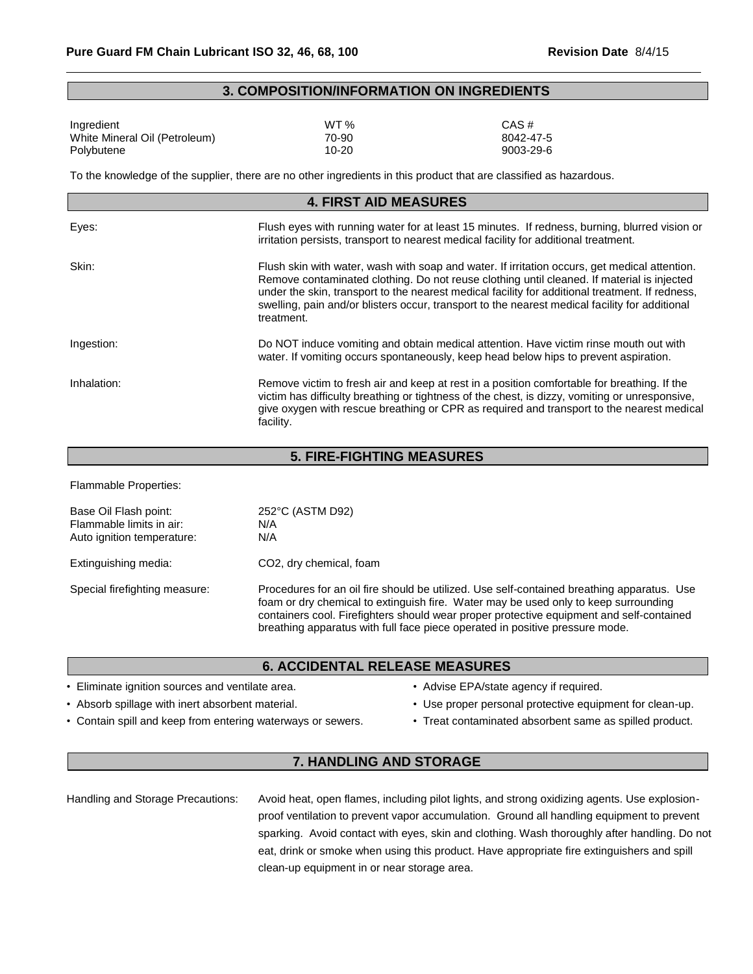#### **3. COMPOSITION/INFORMATION ON INGREDIENTS**

| Ingredient                    | WT %  | CAS #     |
|-------------------------------|-------|-----------|
| White Mineral Oil (Petroleum) | 70-90 | 8042-47-5 |
| Polybutene                    | 10-20 | 9003-29-6 |

To the knowledge of the supplier, there are no other ingredients in this product that are classified as hazardous.

| <b>4. FIRST AID MEASURES</b> |                                                                                                                                                                                                                                                                                                                                                                                                                |  |
|------------------------------|----------------------------------------------------------------------------------------------------------------------------------------------------------------------------------------------------------------------------------------------------------------------------------------------------------------------------------------------------------------------------------------------------------------|--|
| Eyes:                        | Flush eyes with running water for at least 15 minutes. If redness, burning, blurred vision or<br>irritation persists, transport to nearest medical facility for additional treatment.                                                                                                                                                                                                                          |  |
| Skin:                        | Flush skin with water, wash with soap and water. If irritation occurs, get medical attention.<br>Remove contaminated clothing. Do not reuse clothing until cleaned. If material is injected<br>under the skin, transport to the nearest medical facility for additional treatment. If redness,<br>swelling, pain and/or blisters occur, transport to the nearest medical facility for additional<br>treatment. |  |
| Ingestion:                   | Do NOT induce vomiting and obtain medical attention. Have victim rinse mouth out with<br>water. If vomiting occurs spontaneously, keep head below hips to prevent aspiration.                                                                                                                                                                                                                                  |  |
| Inhalation:                  | Remove victim to fresh air and keep at rest in a position comfortable for breathing. If the<br>victim has difficulty breathing or tightness of the chest, is dizzy, vomiting or unresponsive,<br>give oxygen with rescue breathing or CPR as required and transport to the nearest medical<br>facility.                                                                                                        |  |

## **5. FIRE-FIGHTING MEASURES**

Flammable Properties:

| Base Oil Flash point:<br>Flammable limits in air:<br>Auto ignition temperature: | 252°C (ASTM D92)<br>N/A<br>N/A                                                                                                                                                                                                                                                                                                                                |
|---------------------------------------------------------------------------------|---------------------------------------------------------------------------------------------------------------------------------------------------------------------------------------------------------------------------------------------------------------------------------------------------------------------------------------------------------------|
| Extinguishing media:                                                            | CO <sub>2</sub> , dry chemical, foam                                                                                                                                                                                                                                                                                                                          |
| Special firefighting measure:                                                   | Procedures for an oil fire should be utilized. Use self-contained breathing apparatus. Use<br>foam or dry chemical to extinguish fire. Water may be used only to keep surrounding<br>containers cool. Firefighters should wear proper protective equipment and self-contained<br>breathing apparatus with full face piece operated in positive pressure mode. |

#### **6. ACCIDENTAL RELEASE MEASURES**

- Eliminate ignition sources and ventilate area. • Advise EPA/state agency if required.
- 
- Contain spill and keep from entering waterways or sewers. Treat contaminated absorbent same as spilled product.
- 
- Absorb spillage with inert absorbent material. Use proper personal protective equipment for clean-up.
	-

## **7. HANDLING AND STORAGE**

Handling and Storage Precautions: Avoid heat, open flames, including pilot lights, and strong oxidizing agents. Use explosionproof ventilation to prevent vapor accumulation. Ground all handling equipment to prevent sparking. Avoid contact with eyes, skin and clothing. Wash thoroughly after handling. Do not eat, drink or smoke when using this product. Have appropriate fire extinguishers and spill clean-up equipment in or near storage area.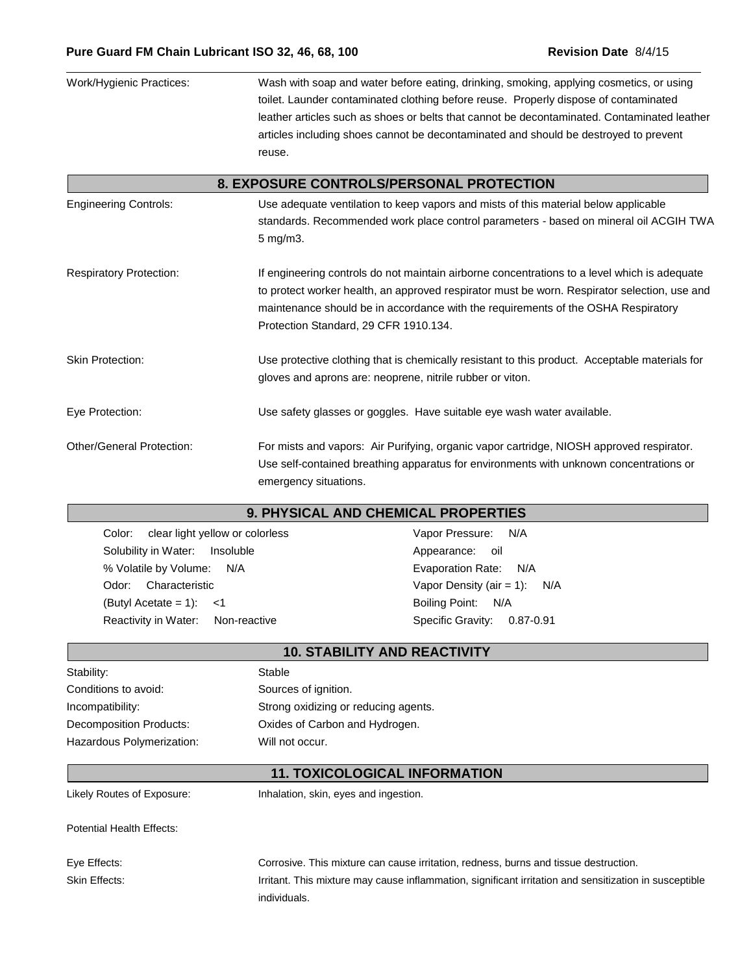| Work/Hygienic Practices:         | Wash with soap and water before eating, drinking, smoking, applying cosmetics, or using<br>toilet. Launder contaminated clothing before reuse. Properly dispose of contaminated<br>leather articles such as shoes or belts that cannot be decontaminated. Contaminated leather<br>articles including shoes cannot be decontaminated and should be destroyed to prevent<br>reuse. |
|----------------------------------|----------------------------------------------------------------------------------------------------------------------------------------------------------------------------------------------------------------------------------------------------------------------------------------------------------------------------------------------------------------------------------|
|                                  | 8. EXPOSURE CONTROLS/PERSONAL PROTECTION                                                                                                                                                                                                                                                                                                                                         |
| <b>Engineering Controls:</b>     | Use adequate ventilation to keep vapors and mists of this material below applicable<br>standards. Recommended work place control parameters - based on mineral oil ACGIH TWA<br>5 mg/m3.                                                                                                                                                                                         |
| <b>Respiratory Protection:</b>   | If engineering controls do not maintain airborne concentrations to a level which is adequate<br>to protect worker health, an approved respirator must be worn. Respirator selection, use and<br>maintenance should be in accordance with the requirements of the OSHA Respiratory<br>Protection Standard, 29 CFR 1910.134.                                                       |
| <b>Skin Protection:</b>          | Use protective clothing that is chemically resistant to this product. Acceptable materials for<br>gloves and aprons are: neoprene, nitrile rubber or viton.                                                                                                                                                                                                                      |
| Eye Protection:                  | Use safety glasses or goggles. Have suitable eye wash water available.                                                                                                                                                                                                                                                                                                           |
| <b>Other/General Protection:</b> | For mists and vapors: Air Purifying, organic vapor cartridge, NIOSH approved respirator.<br>Use self-contained breathing apparatus for environments with unknown concentrations or<br>emergency situations.                                                                                                                                                                      |

## **9. PHYSICAL AND CHEMICAL PROPERTIES**

Color: clear light yellow or colorless Vapor Pressure: N/A Solubility in Water: Insoluble **Appearance:** oil % Volatile by Volume: N/A <br>
Evaporation Rate: N/A Odor: Characteristic **Vapor Density (air = 1):** N/A (Butyl Acetate = 1): <1 Boiling Point: N/A Reactivity in Water: Non-reactive Specific Gravity: 0.87-0.91

| <b>10. STABILITY AND REACTIVITY</b> |                                      |
|-------------------------------------|--------------------------------------|
| Stability:                          | Stable                               |
| Conditions to avoid:                | Sources of ignition.                 |
| Incompatibility:                    | Strong oxidizing or reducing agents. |
| Decomposition Products:             | Oxides of Carbon and Hydrogen.       |
| Hazardous Polymerization:           | Will not occur.                      |
|                                     | <b>11. TOXICOLOGICAL INFORMATION</b> |

Likely Routes of Exposure: Inhalation, skin, eyes and ingestion.

Potential Health Effects:

Eye Effects: Corrosive. This mixture can cause irritation, redness, burns and tissue destruction. Skin Effects: **Inter antical and Senation** Irritant. This mixture may cause inflammation, significant irritation and sensitization in susceptible individuals.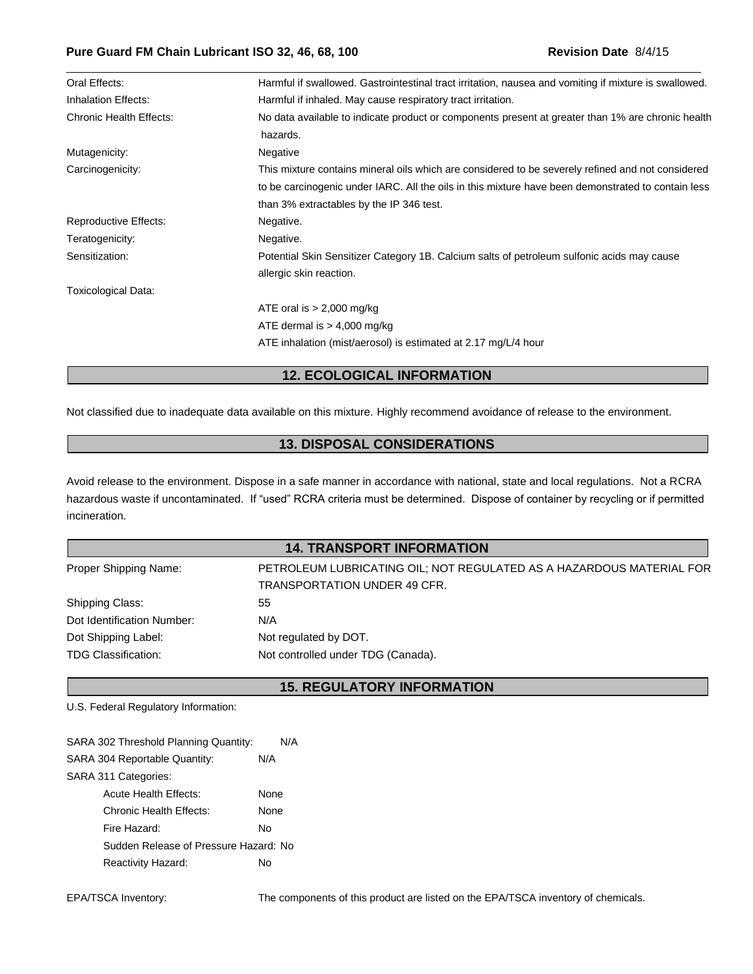| Oral Effects:                  | Harmful if swallowed. Gastrointestinal tract irritation, nausea and vomiting if mixture is swallowed.         |
|--------------------------------|---------------------------------------------------------------------------------------------------------------|
| Inhalation Effects:            | Harmful if inhaled. May cause respiratory tract irritation.                                                   |
| <b>Chronic Health Effects:</b> | No data available to indicate product or components present at greater than 1% are chronic health<br>hazards. |
| Mutagenicity:                  | Negative                                                                                                      |
| Carcinogenicity:               | This mixture contains mineral oils which are considered to be severely refined and not considered             |
|                                | to be carcinogenic under IARC. All the oils in this mixture have been demonstrated to contain less            |
|                                | than 3% extractables by the IP 346 test.                                                                      |
| <b>Reproductive Effects:</b>   | Negative.                                                                                                     |
| Teratogenicity:                | Negative.                                                                                                     |
| Sensitization:                 | Potential Skin Sensitizer Category 1B. Calcium salts of petroleum sulfonic acids may cause                    |
|                                | allergic skin reaction.                                                                                       |
| <b>Toxicological Data:</b>     |                                                                                                               |
|                                | ATE oral is $> 2,000$ mg/kg                                                                                   |
|                                | ATE dermal is $> 4,000$ mg/kg                                                                                 |
|                                | ATE inhalation (mist/aerosol) is estimated at 2.17 mg/L/4 hour                                                |

## **12. ECOLOGICAL INFORMATION**

Not classified due to inadequate data available on this mixture. Highly recommend avoidance of release to the environment.

## **13. DISPOSAL CONSIDERATIONS**

Avoid release to the environment. Dispose in a safe manner in accordance with national, state and local regulations. Not a RCRA hazardous waste if uncontaminated. If "used" RCRA criteria must be determined. Dispose of container by recycling or if permitted incineration.

## **14. TRANSPORT INFORMATION**

| Proper Shipping Name:      | PETROLEUM LUBRICATING OIL; NOT REGULATED AS A HAZARDOUS MATERIAL FOR |
|----------------------------|----------------------------------------------------------------------|
|                            | TRANSPORTATION UNDER 49 CFR.                                         |
| Shipping Class:            | 55                                                                   |
| Dot Identification Number: | N/A                                                                  |
| Dot Shipping Label:        | Not regulated by DOT.                                                |
| TDG Classification:        | Not controlled under TDG (Canada).                                   |

#### **15. REGULATORY INFORMATION**

U.S. Federal Regulatory Information:

| SARA 302 Threshold Planning Quantity: | N/A  |
|---------------------------------------|------|
| SARA 304 Reportable Quantity:         | N/A  |
| SARA 311 Categories:                  |      |
| Acute Health Effects:                 | None |
| Chronic Health Effects:               | None |
| Fire Hazard:                          | N٥   |
| Sudden Release of Pressure Hazard: No |      |
| Reactivity Hazard:                    | N٥   |

EPA/TSCA Inventory: The components of this product are listed on the EPA/TSCA inventory of chemicals.